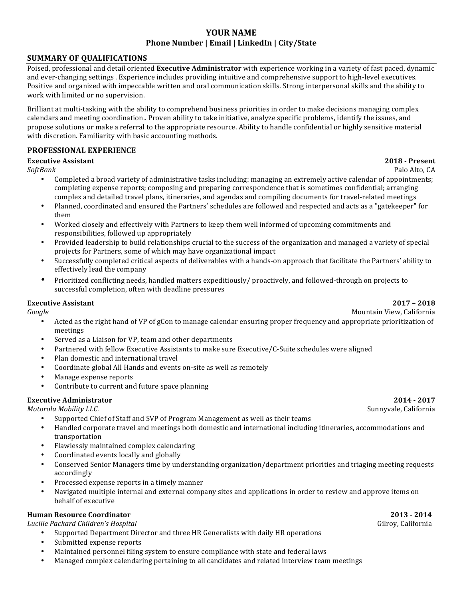# **YOUR NAME Phone Number | Email | LinkedIn | City/State**

## **SUMMARY OF QUALIFICATIONS**

Poised, professional and detail oriented Executive Administrator with experience working in a variety of fast paced, dynamic and ever-changing settings. Experience includes providing intuitive and comprehensive support to high-level executives. Positive and organized with impeccable written and oral communication skills. Strong interpersonal skills and the ability to work with limited or no supervision.

Brilliant at multi-tasking with the ability to comprehend business priorities in order to make decisions managing complex calendars and meeting coordination.. Proven ability to take initiative, analyze specific problems, identify the issues, and propose solutions or make a referral to the appropriate resource. Ability to handle confidential or highly sensitive material with discretion. Familiarity with basic accounting methods.

# **PROFESSIONAL EXPERIENCE**

### **Executive Assistant 2018** - **Present**

*SoftBank* Palo Alto, CA

- Completed a broad variety of administrative tasks including: managing an extremely active calendar of appointments; completing expense reports; composing and preparing correspondence that is sometimes confidential; arranging complex and detailed travel plans, itineraries, and agendas and compiling documents for travel-related meetings
- Planned, coordinated and ensured the Partners' schedules are followed and respected and acts as a "gatekeeper" for them
- Worked closely and effectively with Partners to keep them well informed of upcoming commitments and responsibilities, followed up appropriately
- Provided leadership to build relationships crucial to the success of the organization and managed a variety of special projects for Partners, some of which may have organizational impact
- Successfully completed critical aspects of deliverables with a hands-on approach that facilitate the Partners' ability to effectively lead the company
- Prioritized conflicting needs, handled matters expeditiously/ proactively, and followed-through on projects to successful completion, often with deadline pressures

## **Executive Assistant 2017 – 2018**

**Google** Mountain View, California **Mountain View, California** 

- Acted as the right hand of VP of gCon to manage calendar ensuring proper frequency and appropriate prioritization of meetings
- Served as a Liaison for VP, team and other departments
- Partnered with fellow Executive Assistants to make sure Executive/C-Suite schedules were aligned
- Plan domestic and international travel
- Coordinate global All Hands and events on-site as well as remotely
- Manage expense reports
- Contribute to current and future space planning

### **Executive Administrator 10.17 2014 · 2017**

**Motorola Mobility LLC.** Sunnyvale, California

- Supported Chief of Staff and SVP of Program Management as well as their teams
- Handled corporate travel and meetings both domestic and international including itineraries, accommodations and transportation
- Flawlessly maintained complex calendaring
- Coordinated events locally and globally
- Conserved Senior Managers time by understanding organization/department priorities and triaging meeting requests accordingly
- Processed expense reports in a timely manner
- Navigated multiple internal and external company sites and applications in order to review and approve items on behalf of executive

### **Human Resource Coordinator 2013 - 2014**

*Lucille Packard Children's Hospital* Gilroy, California

- Supported Department Director and three HR Generalists with daily HR operations
- Submitted expense reports
- Maintained personnel filing system to ensure compliance with state and federal laws
- Managed complex calendaring pertaining to all candidates and related interview team meetings